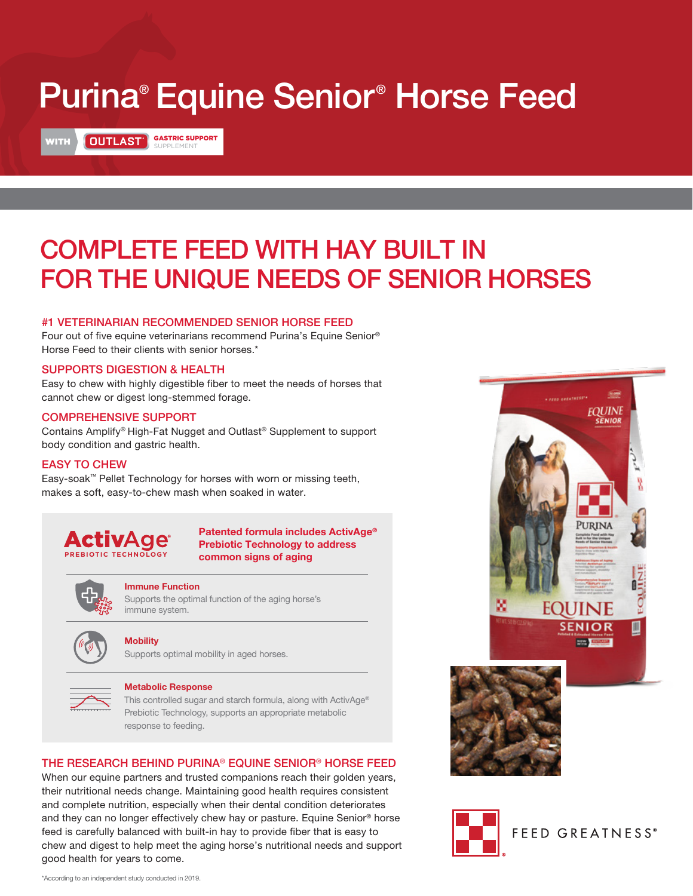# Purina® Equine Senior ® Horse Feed

# WITH **QUTLAST** GASTRIC SUPPORT

# COMPLETE FEED WITH HAY BUILT IN FOR THE UNIQUE NEEDS OF SENIOR HORSES

#### #1 VETERINARIAN RECOMMENDED SENIOR HORSE FEED

Four out of five equine veterinarians recommend Purina's Equine Senior® Horse Feed to their clients with senior horses.\*

#### SUPPORTS DIGESTION & HEALTH

Easy to chew with highly digestible fiber to meet the needs of horses that cannot chew or digest long-stemmed forage.

#### COMPREHENSIVE SUPPORT

Contains Amplify® High-Fat Nugget and Outlast® Supplement to support body condition and gastric health.

#### EASY TO CHEW

Easy-soak™ Pellet Technology for horses with worn or missing teeth, makes a soft, easy-to-chew mash when soaked in water.



**Patented formula includes ActivAge® Prebiotic Technology to address common signs of aging** 



#### **Immune Function**

Supports the optimal function of the aging horse's immune system.



#### **Mobility**

Supports optimal mobility in aged horses.



#### **Metabolic Response**

This controlled sugar and starch formula, along with ActivAge® Prebiotic Technology, supports an appropriate metabolic response to feeding.

#### THE RESEARCH BEHIND PURINA® EQUINE SENIOR® HORSE FEED

When our equine partners and trusted companions reach their golden years, their nutritional needs change. Maintaining good health requires consistent and complete nutrition, especially when their dental condition deteriorates and they can no longer effectively chew hay or pasture. Equine Senior® horse feed is carefully balanced with built-in hay to provide fiber that is easy to chew and digest to help meet the aging horse's nutritional needs and support good health for years to come.